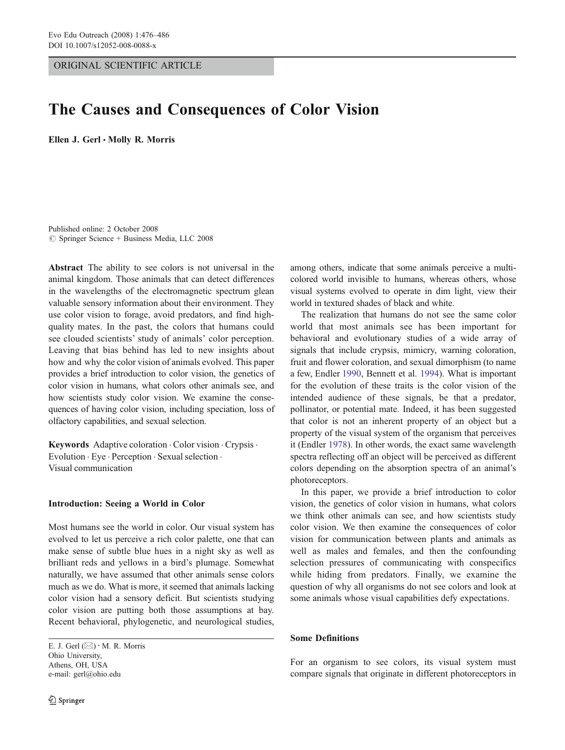ORIGINAL SCIENTIFIC ARTICLE

# The Causes and Consequences of Color Vision

Ellen J. Gerl *&* Molly R. Morris

Published online: 2 October 2008  $\oslash$  Springer Science + Business Media, LLC 2008

Abstract The ability to see colors is not universal in the animal kingdom. Those animals that can detect differences in the wavelengths of the electromagnetic spectrum glean valuable sensory information about their environment. They use color vision to forage, avoid predators, and find highquality mates. In the past, the colors that humans could see clouded scientists' study of animals' color perception. Leaving that bias behind has led to new insights about how and why the color vision of animals evolved. This paper provides a brief introduction to color vision, the genetics of color vision in humans, what colors other animals see, and how scientists study color vision. We examine the consequences of having color vision, including speciation, loss of olfactory capabilities, and sexual selection.

Keywords Adaptive coloration . Color vision . Crypsis . Evolution . Eye . Perception . Sexual selection . Visual communication

### Introduction: Seeing a World in Color

Most humans see the world in color. Our visual system has evolved to let us perceive a rich color palette, one that can make sense of subtle blue hues in a night sky as well as brilliant reds and yellows in a bird's plumage. Somewhat naturally, we have assumed that other animals sense colors much as we do. What is more, it seemed that animals lacking color vision had a sensory deficit. But scientists studying color vision are putting both those assumptions at bay. Recent behavioral, phylogenetic, and neurological studies,

among others, indicate that some animals perceive a multicolored world invisible to humans, whereas others, whose visual systems evolved to operate in dim light, view their world in textured shades of black and white.

The realization that humans do not see the same color world that most animals see has been important for behavioral and evolutionary studies of a wide array of signals that include crypsis, mimicry, warning coloration, fruit and flower coloration, and sexual dimorphism (to name a few, Endler [1990,](#page-9-0) Bennett et al. [1994\)](#page-9-0). What is important for the evolution of these traits is the color vision of the intended audience of these signals, be that a predator, pollinator, or potential mate. Indeed, it has been suggested that color is not an inherent property of an object but a property of the visual system of the organism that perceives it (Endler [1978](#page-9-0)). In other words, the exact same wavelength spectra reflecting off an object will be perceived as different colors depending on the absorption spectra of an animal's photoreceptors.

In this paper, we provide a brief introduction to color vision, the genetics of color vision in humans, what colors we think other animals can see, and how scientists study color vision. We then examine the consequences of color vision for communication between plants and animals as well as males and females, and then the confounding selection pressures of communicating with conspecifics while hiding from predators. Finally, we examine the question of why all organisms do not see colors and look at some animals whose visual capabilities defy expectations.

## Some Definitions

For an organism to see colors, its visual system must compare signals that originate in different photoreceptors in

E. J. Gerl (*\**) *:* M. R. Morris Ohio University, Athens, OH, USA e-mail: gerl@ohio.edu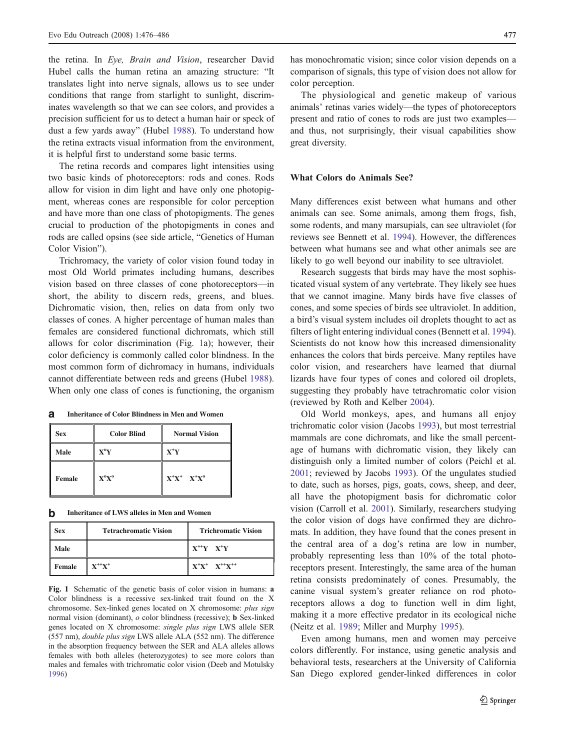<span id="page-1-0"></span>the retina. In Eye, Brain and Vision, researcher David Hubel calls the human retina an amazing structure: "It translates light into nerve signals, allows us to see under conditions that range from starlight to sunlight, discriminates wavelength so that we can see colors, and provides a precision sufficient for us to detect a human hair or speck of dust a few yards away" (Hubel [1988\)](#page-9-0). To understand how the retina extracts visual information from the environment, it is helpful first to understand some basic terms.

The retina records and compares light intensities using two basic kinds of photoreceptors: rods and cones. Rods allow for vision in dim light and have only one photopigment, whereas cones are responsible for color perception and have more than one class of photopigments. The genes crucial to production of the photopigments in cones and rods are called opsins (see side article, "Genetics of Human Color Vision").

Trichromacy, the variety of color vision found today in most Old World primates including humans, describes vision based on three classes of cone photoreceptors—in short, the ability to discern reds, greens, and blues. Dichromatic vision, then, relies on data from only two classes of cones. A higher percentage of human males than females are considered functional dichromats, which still allows for color discrimination (Fig. 1a); however, their color deficiency is commonly called color blindness. In the most common form of dichromacy in humans, individuals cannot differentiate between reds and greens (Hubel [1988](#page-9-0)). When only one class of cones is functioning, the organism

**a Inheritance of Color Blindness in Men and Women** 

| <b>Sex</b>    | <b>Color Blind</b> | <b>Normal Vision</b> |
|---------------|--------------------|----------------------|
| Male          | $X^oY$             | $X^+Y$               |
| <b>Female</b> | $X^oX^o$           | $X^+X^+$ $X^+X^0$    |

**b Inheritance of LWS alleles in Men and Women**

| Sex    | <b>Tetrachromatic Vision</b> | <b>Trichromatic Vision</b> |
|--------|------------------------------|----------------------------|
| Male   |                              | $X^+Y - X^+Y$              |
| Female | $X^{++}X^+$                  | $X^+X^+$ $X^{++}X^{++}$    |

Fig. 1 Schematic of the genetic basis of color vision in humans: a Color blindness is a recessive sex-linked trait found on the X chromosome. Sex-linked genes located on X chromosome: plus sign normal vision (dominant), o color blindness (recessive); b Sex-linked genes located on X chromosome: single plus sign LWS allele SER (557 nm), double plus sign LWS allele ALA (552 nm). The difference in the absorption frequency between the SER and ALA alleles allows females with both alleles (heterozygotes) to see more colors than males and females with trichromatic color vision (Deeb and Motulsky [1996](#page-9-0))

has monochromatic vision; since color vision depends on a comparison of signals, this type of vision does not allow for color perception.

The physiological and genetic makeup of various animals' retinas varies widely—the types of photoreceptors present and ratio of cones to rods are just two examples and thus, not surprisingly, their visual capabilities show great diversity.

### What Colors do Animals See?

Many differences exist between what humans and other animals can see. Some animals, among them frogs, fish, some rodents, and many marsupials, can see ultraviolet (for reviews see Bennett et al. [1994](#page-9-0)). However, the differences between what humans see and what other animals see are likely to go well beyond our inability to see ultraviolet.

Research suggests that birds may have the most sophisticated visual system of any vertebrate. They likely see hues that we cannot imagine. Many birds have five classes of cones, and some species of birds see ultraviolet. In addition, a bird's visual system includes oil droplets thought to act as filters of light entering individual cones (Bennett et al. [1994\)](#page-9-0). Scientists do not know how this increased dimensionality enhances the colors that birds perceive. Many reptiles have color vision, and researchers have learned that diurnal lizards have four types of cones and colored oil droplets, suggesting they probably have tetrachromatic color vision (reviewed by Roth and Kelber [2004](#page-10-0)).

Old World monkeys, apes, and humans all enjoy trichromatic color vision (Jacobs [1993](#page-9-0)), but most terrestrial mammals are cone dichromats, and like the small percentage of humans with dichromatic vision, they likely can distinguish only a limited number of colors (Peichl et al. [2001](#page-9-0); reviewed by Jacobs [1993](#page-9-0)). Of the ungulates studied to date, such as horses, pigs, goats, cows, sheep, and deer, all have the photopigment basis for dichromatic color vision (Carroll et al. [2001\)](#page-9-0). Similarly, researchers studying the color vision of dogs have confirmed they are dichromats. In addition, they have found that the cones present in the central area of a dog's retina are low in number, probably representing less than 10% of the total photoreceptors present. Interestingly, the same area of the human retina consists predominately of cones. Presumably, the canine visual system's greater reliance on rod photoreceptors allows a dog to function well in dim light, making it a more effective predator in its ecological niche (Neitz et al. [1989](#page-9-0); Miller and Murphy [1995\)](#page-9-0).

Even among humans, men and women may perceive colors differently. For instance, using genetic analysis and behavioral tests, researchers at the University of California San Diego explored gender-linked differences in color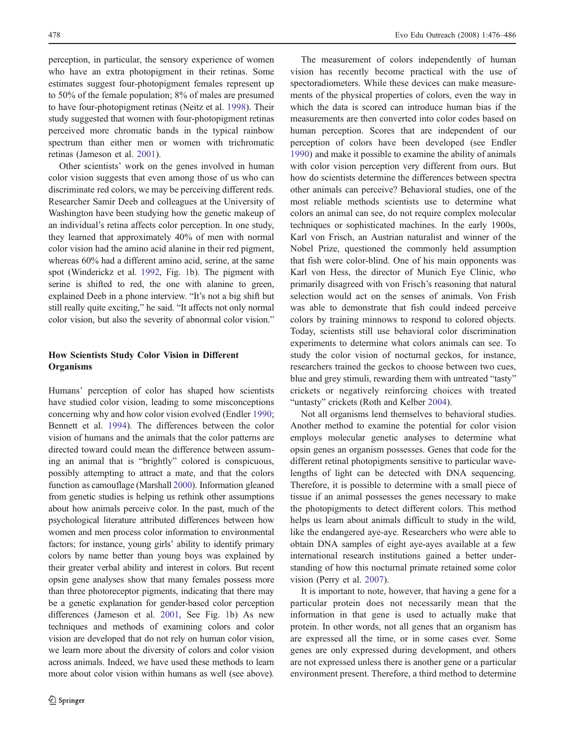perception, in particular, the sensory experience of women who have an extra photopigment in their retinas. Some estimates suggest four-photopigment females represent up to 50% of the female population; 8% of males are presumed to have four-photopigment retinas (Neitz et al. [1998](#page-9-0)). Their study suggested that women with four-photopigment retinas perceived more chromatic bands in the typical rainbow spectrum than either men or women with trichromatic retinas (Jameson et al. [2001](#page-9-0)).

Other scientists' work on the genes involved in human color vision suggests that even among those of us who can discriminate red colors, we may be perceiving different reds. Researcher Samir Deeb and colleagues at the University of Washington have been studying how the genetic makeup of an individual's retina affects color perception. In one study, they learned that approximately 40% of men with normal color vision had the amino acid alanine in their red pigment, whereas 60% had a different amino acid, serine, at the same spot (Winderickz et al. [1992](#page-10-0), Fig. [1](#page-1-0)b). The pigment with serine is shifted to red, the one with alanine to green, explained Deeb in a phone interview. "It's not a big shift but still really quite exciting," he said. "It affects not only normal color vision, but also the severity of abnormal color vision."

# How Scientists Study Color Vision in Different **Organisms**

Humans' perception of color has shaped how scientists have studied color vision, leading to some misconceptions concerning why and how color vision evolved (Endler [1990](#page-9-0); Bennett et al. [1994\)](#page-9-0). The differences between the color vision of humans and the animals that the color patterns are directed toward could mean the difference between assuming an animal that is "brightly" colored is conspicuous, possibly attempting to attract a mate, and that the colors function as camouflage (Marshall [2000](#page-9-0)). Information gleaned from genetic studies is helping us rethink other assumptions about how animals perceive color. In the past, much of the psychological literature attributed differences between how women and men process color information to environmental factors; for instance, young girls' ability to identify primary colors by name better than young boys was explained by their greater verbal ability and interest in colors. But recent opsin gene analyses show that many females possess more than three photoreceptor pigments, indicating that there may be a genetic explanation for gender-based color perception differences (Jameson et al. [2001,](#page-9-0) See Fig. [1b](#page-1-0)) As new techniques and methods of examining colors and color vision are developed that do not rely on human color vision, we learn more about the diversity of colors and color vision across animals. Indeed, we have used these methods to learn more about color vision within humans as well (see above).

The measurement of colors independently of human vision has recently become practical with the use of spectoradiometers. While these devices can make measurements of the physical properties of colors, even the way in which the data is scored can introduce human bias if the measurements are then converted into color codes based on human perception. Scores that are independent of our perception of colors have been developed (see Endler [1990](#page-9-0)) and make it possible to examine the ability of animals with color vision perception very different from ours. But how do scientists determine the differences between spectra other animals can perceive? Behavioral studies, one of the most reliable methods scientists use to determine what colors an animal can see, do not require complex molecular techniques or sophisticated machines. In the early 1900s, Karl von Frisch, an Austrian naturalist and winner of the Nobel Prize, questioned the commonly held assumption that fish were color-blind. One of his main opponents was Karl von Hess, the director of Munich Eye Clinic, who primarily disagreed with von Frisch's reasoning that natural selection would act on the senses of animals. Von Frish was able to demonstrate that fish could indeed perceive colors by training minnows to respond to colored objects. Today, scientists still use behavioral color discrimination experiments to determine what colors animals can see. To study the color vision of nocturnal geckos, for instance, researchers trained the geckos to choose between two cues, blue and grey stimuli, rewarding them with untreated "tasty" crickets or negatively reinforcing choices with treated "untasty" crickets (Roth and Kelber [2004](#page-10-0)).

Not all organisms lend themselves to behavioral studies. Another method to examine the potential for color vision employs molecular genetic analyses to determine what opsin genes an organism possesses. Genes that code for the different retinal photopigments sensitive to particular wavelengths of light can be detected with DNA sequencing. Therefore, it is possible to determine with a small piece of tissue if an animal possesses the genes necessary to make the photopigments to detect different colors. This method helps us learn about animals difficult to study in the wild, like the endangered aye-aye. Researchers who were able to obtain DNA samples of eight aye-ayes available at a few international research institutions gained a better understanding of how this nocturnal primate retained some color vision (Perry et al. [2007\)](#page-9-0).

It is important to note, however, that having a gene for a particular protein does not necessarily mean that the information in that gene is used to actually make that protein. In other words, not all genes that an organism has are expressed all the time, or in some cases ever. Some genes are only expressed during development, and others are not expressed unless there is another gene or a particular environment present. Therefore, a third method to determine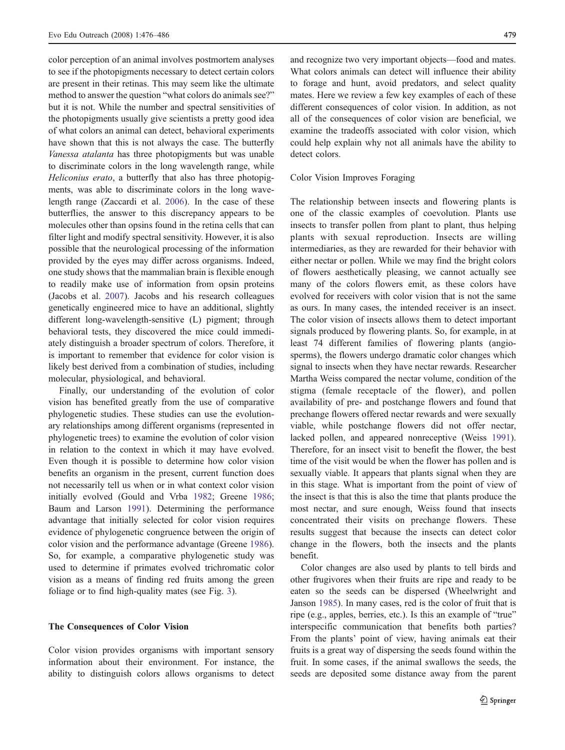color perception of an animal involves postmortem analyses to see if the photopigments necessary to detect certain colors are present in their retinas. This may seem like the ultimate method to answer the question "what colors do animals see?" but it is not. While the number and spectral sensitivities of the photopigments usually give scientists a pretty good idea of what colors an animal can detect, behavioral experiments have shown that this is not always the case. The butterfly Vanessa atalanta has three photopigments but was unable to discriminate colors in the long wavelength range, while Heliconius erato, a butterfly that also has three photopigments, was able to discriminate colors in the long wavelength range (Zaccardi et al. [2006](#page-10-0)). In the case of these butterflies, the answer to this discrepancy appears to be molecules other than opsins found in the retina cells that can filter light and modify spectral sensitivity. However, it is also possible that the neurological processing of the information provided by the eyes may differ across organisms. Indeed, one study shows that the mammalian brain is flexible enough to readily make use of information from opsin proteins (Jacobs et al. [2007\)](#page-9-0). Jacobs and his research colleagues genetically engineered mice to have an additional, slightly different long-wavelength-sensitive (L) pigment; through behavioral tests, they discovered the mice could immediately distinguish a broader spectrum of colors. Therefore, it is important to remember that evidence for color vision is likely best derived from a combination of studies, including molecular, physiological, and behavioral.

Finally, our understanding of the evolution of color vision has benefited greatly from the use of comparative phylogenetic studies. These studies can use the evolutionary relationships among different organisms (represented in phylogenetic trees) to examine the evolution of color vision in relation to the context in which it may have evolved. Even though it is possible to determine how color vision benefits an organism in the present, current function does not necessarily tell us when or in what context color vision initially evolved (Gould and Vrba [1982;](#page-9-0) Greene [1986](#page-9-0); Baum and Larson [1991](#page-9-0)). Determining the performance advantage that initially selected for color vision requires evidence of phylogenetic congruence between the origin of color vision and the performance advantage (Greene [1986](#page-9-0)). So, for example, a comparative phylogenetic study was used to determine if primates evolved trichromatic color vision as a means of finding red fruits among the green foliage or to find high-quality mates (see Fig. [3](#page-5-0)).

## The Consequences of Color Vision

Color vision provides organisms with important sensory information about their environment. For instance, the ability to distinguish colors allows organisms to detect and recognize two very important objects—food and mates. What colors animals can detect will influence their ability to forage and hunt, avoid predators, and select quality mates. Here we review a few key examples of each of these different consequences of color vision. In addition, as not all of the consequences of color vision are beneficial, we examine the tradeoffs associated with color vision, which could help explain why not all animals have the ability to detect colors.

# Color Vision Improves Foraging

The relationship between insects and flowering plants is one of the classic examples of coevolution. Plants use insects to transfer pollen from plant to plant, thus helping plants with sexual reproduction. Insects are willing intermediaries, as they are rewarded for their behavior with either nectar or pollen. While we may find the bright colors of flowers aesthetically pleasing, we cannot actually see many of the colors flowers emit, as these colors have evolved for receivers with color vision that is not the same as ours. In many cases, the intended receiver is an insect. The color vision of insects allows them to detect important signals produced by flowering plants. So, for example, in at least 74 different families of flowering plants (angiosperms), the flowers undergo dramatic color changes which signal to insects when they have nectar rewards. Researcher Martha Weiss compared the nectar volume, condition of the stigma (female receptacle of the flower), and pollen availability of pre- and postchange flowers and found that prechange flowers offered nectar rewards and were sexually viable, while postchange flowers did not offer nectar, lacked pollen, and appeared nonreceptive (Weiss [1991\)](#page-10-0). Therefore, for an insect visit to benefit the flower, the best time of the visit would be when the flower has pollen and is sexually viable. It appears that plants signal when they are in this stage. What is important from the point of view of the insect is that this is also the time that plants produce the most nectar, and sure enough, Weiss found that insects concentrated their visits on prechange flowers. These results suggest that because the insects can detect color change in the flowers, both the insects and the plants benefit.

Color changes are also used by plants to tell birds and other frugivores when their fruits are ripe and ready to be eaten so the seeds can be dispersed (Wheelwright and Janson [1985](#page-10-0)). In many cases, red is the color of fruit that is ripe (e.g., apples, berries, etc.). Is this an example of "true" interspecific communication that benefits both parties? From the plants' point of view, having animals eat their fruits is a great way of dispersing the seeds found within the fruit. In some cases, if the animal swallows the seeds, the seeds are deposited some distance away from the parent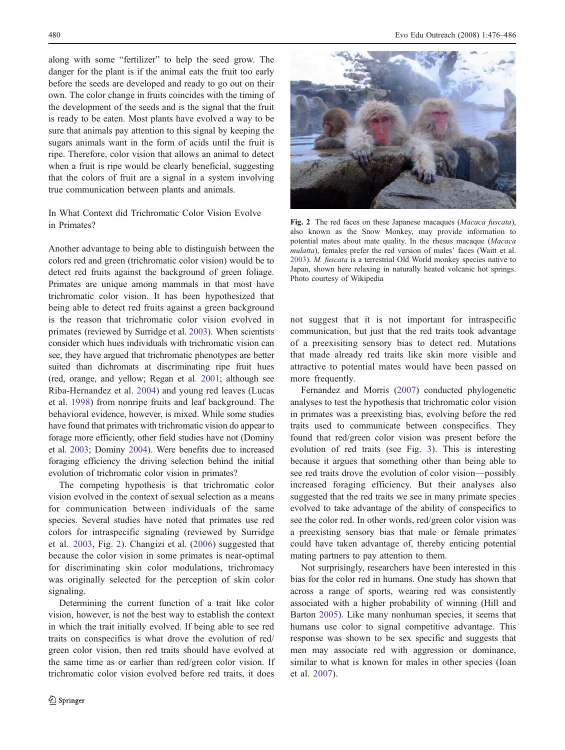along with some "fertilizer" to help the seed grow. The danger for the plant is if the animal eats the fruit too early before the seeds are developed and ready to go out on their own. The color change in fruits coincides with the timing of the development of the seeds and is the signal that the fruit is ready to be eaten. Most plants have evolved a way to be sure that animals pay attention to this signal by keeping the sugars animals want in the form of acids until the fruit is ripe. Therefore, color vision that allows an animal to detect when a fruit is ripe would be clearly beneficial, suggesting that the colors of fruit are a signal in a system involving true communication between plants and animals.

# In What Context did Trichromatic Color Vision Evolve in Primates?

Another advantage to being able to distinguish between the colors red and green (trichromatic color vision) would be to detect red fruits against the background of green foliage. Primates are unique among mammals in that most have trichromatic color vision. It has been hypothesized that being able to detect red fruits against a green background is the reason that trichromatic color vision evolved in primates (reviewed by Surridge et al. [2003\)](#page-10-0). When scientists consider which hues individuals with trichromatic vision can see, they have argued that trichromatic phenotypes are better suited than dichromats at discriminating ripe fruit hues (red, orange, and yellow; Regan et al. [2001;](#page-9-0) although see Riba-Hernandez et al. [2004\)](#page-9-0) and young red leaves (Lucas et al. [1998](#page-9-0)) from nonripe fruits and leaf background. The behavioral evidence, however, is mixed. While some studies have found that primates with trichromatic vision do appear to forage more efficiently, other field studies have not (Dominy et al. [2003](#page-9-0); Dominy [2004](#page-9-0)). Were benefits due to increased foraging efficiency the driving selection behind the initial evolution of trichromatic color vision in primates?

The competing hypothesis is that trichromatic color vision evolved in the context of sexual selection as a means for communication between individuals of the same species. Several studies have noted that primates use red colors for intraspecific signaling (reviewed by Surridge et al. [2003](#page-10-0), Fig. 2). Changizi et al. ([2006](#page-9-0)) suggested that because the color vision in some primates is near-optimal for discriminating skin color modulations, trichromacy was originally selected for the perception of skin color signaling.

Determining the current function of a trait like color vision, however, is not the best way to establish the context in which the trait initially evolved. If being able to see red traits on conspecifics is what drove the evolution of red/ green color vision, then red traits should have evolved at the same time as or earlier than red/green color vision. If trichromatic color vision evolved before red traits, it does



Fig. 2 The red faces on these Japanese macaques (Macaca fuscata), also known as the Snow Monkey, may provide information to potential mates about mate quality. In the rhesus macaque (Macaca mulatta), females prefer the red version of males' faces (Waitt et al. [2003](#page-10-0)). M. fuscata is a terrestrial Old World monkey species native to Japan, shown here relaxing in naturally heated volcanic hot springs. Photo courtesy of Wikipedia

not suggest that it is not important for intraspecific communication, but just that the red traits took advantage of a preexisiting sensory bias to detect red. Mutations that made already red traits like skin more visible and attractive to potential mates would have been passed on more frequently.

Fernandez and Morris ([2007\)](#page-9-0) conducted phylogenetic analyses to test the hypothesis that trichromatic color vision in primates was a preexisting bias, evolving before the red traits used to communicate between conspecifics. They found that red/green color vision was present before the evolution of red traits (see Fig. [3](#page-5-0)). This is interesting because it argues that something other than being able to see red traits drove the evolution of color vision—possibly increased foraging efficiency. But their analyses also suggested that the red traits we see in many primate species evolved to take advantage of the ability of conspecifics to see the color red. In other words, red/green color vision was a preexisting sensory bias that male or female primates could have taken advantage of, thereby enticing potential mating partners to pay attention to them.

Not surprisingly, researchers have been interested in this bias for the color red in humans. One study has shown that across a range of sports, wearing red was consistently associated with a higher probability of winning (Hill and Barton [2005\)](#page-9-0). Like many nonhuman species, it seems that humans use color to signal competitive advantage. This response was shown to be sex specific and suggests that men may associate red with aggression or dominance, similar to what is known for males in other species (Ioan et al. [2007\)](#page-9-0).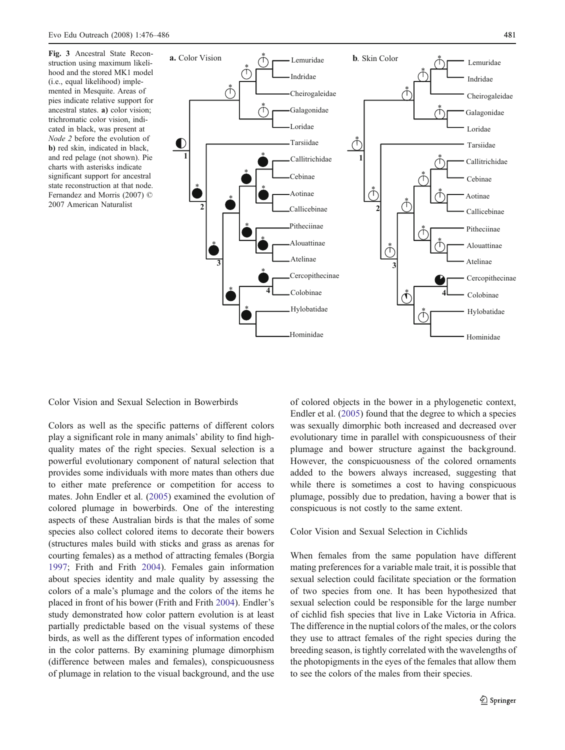<span id="page-5-0"></span>Fig. 3 Ancestral State Reconstruction using maximum likelihood and the stored MK1 model (i.e., equal likelihood) implemented in Mesquite. Areas of pies indicate relative support for ancestral states. a) color vision; trichromatic color vision, indicated in black, was present at Node 2 before the evolution of b) red skin, indicated in black, and red pelage (not shown). Pie charts with asterisks indicate significant support for ancestral state reconstruction at that node. Fernandez and Morris (2007) © 2007 American Naturalist



### Color Vision and Sexual Selection in Bowerbirds

Colors as well as the specific patterns of different colors play a significant role in many animals' ability to find highquality mates of the right species. Sexual selection is a powerful evolutionary component of natural selection that provides some individuals with more mates than others due to either mate preference or competition for access to mates. John Endler et al. [\(2005](#page-9-0)) examined the evolution of colored plumage in bowerbirds. One of the interesting aspects of these Australian birds is that the males of some species also collect colored items to decorate their bowers (structures males build with sticks and grass as arenas for courting females) as a method of attracting females (Borgia [1997](#page-9-0); Frith and Frith [2004\)](#page-9-0). Females gain information about species identity and male quality by assessing the colors of a male's plumage and the colors of the items he placed in front of his bower (Frith and Frith [2004\)](#page-9-0). Endler's study demonstrated how color pattern evolution is at least partially predictable based on the visual systems of these birds, as well as the different types of information encoded in the color patterns. By examining plumage dimorphism (difference between males and females), conspicuousness of plumage in relation to the visual background, and the use

of colored objects in the bower in a phylogenetic context, Endler et al. ([2005\)](#page-9-0) found that the degree to which a species was sexually dimorphic both increased and decreased over evolutionary time in parallel with conspicuousness of their plumage and bower structure against the background. However, the conspicuousness of the colored ornaments added to the bowers always increased, suggesting that while there is sometimes a cost to having conspicuous plumage, possibly due to predation, having a bower that is conspicuous is not costly to the same extent.

## Color Vision and Sexual Selection in Cichlids

When females from the same population have different mating preferences for a variable male trait, it is possible that sexual selection could facilitate speciation or the formation of two species from one. It has been hypothesized that sexual selection could be responsible for the large number of cichlid fish species that live in Lake Victoria in Africa. The difference in the nuptial colors of the males, or the colors they use to attract females of the right species during the breeding season, is tightly correlated with the wavelengths of the photopigments in the eyes of the females that allow them to see the colors of the males from their species.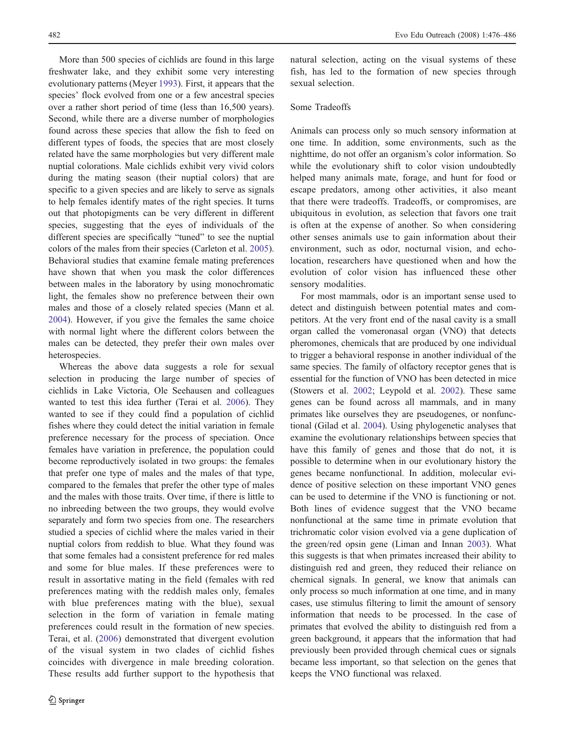More than 500 species of cichlids are found in this large freshwater lake, and they exhibit some very interesting evolutionary patterns (Meyer [1993](#page-9-0)). First, it appears that the species' flock evolved from one or a few ancestral species over a rather short period of time (less than 16,500 years). Second, while there are a diverse number of morphologies found across these species that allow the fish to feed on different types of foods, the species that are most closely related have the same morphologies but very different male nuptial colorations. Male cichlids exhibit very vivid colors during the mating season (their nuptial colors) that are specific to a given species and are likely to serve as signals to help females identify mates of the right species. It turns out that photopigments can be very different in different species, suggesting that the eyes of individuals of the different species are specifically "tuned" to see the nuptial colors of the males from their species (Carleton et al. [2005](#page-9-0)). Behavioral studies that examine female mating preferences have shown that when you mask the color differences between males in the laboratory by using monochromatic light, the females show no preference between their own males and those of a closely related species (Mann et al. [2004](#page-9-0)). However, if you give the females the same choice with normal light where the different colors between the males can be detected, they prefer their own males over heterospecies.

Whereas the above data suggests a role for sexual selection in producing the large number of species of cichlids in Lake Victoria, Ole Seehausen and colleagues wanted to test this idea further (Terai et al. [2006\)](#page-10-0). They wanted to see if they could find a population of cichlid fishes where they could detect the initial variation in female preference necessary for the process of speciation. Once females have variation in preference, the population could become reproductively isolated in two groups: the females that prefer one type of males and the males of that type, compared to the females that prefer the other type of males and the males with those traits. Over time, if there is little to no inbreeding between the two groups, they would evolve separately and form two species from one. The researchers studied a species of cichlid where the males varied in their nuptial colors from reddish to blue. What they found was that some females had a consistent preference for red males and some for blue males. If these preferences were to result in assortative mating in the field (females with red preferences mating with the reddish males only, females with blue preferences mating with the blue), sexual selection in the form of variation in female mating preferences could result in the formation of new species. Terai, et al. [\(2006\)](#page-10-0) demonstrated that divergent evolution of the visual system in two clades of cichlid fishes coincides with divergence in male breeding coloration. These results add further support to the hypothesis that

natural selection, acting on the visual systems of these fish, has led to the formation of new species through sexual selection.

## Some Tradeoffs

Animals can process only so much sensory information at one time. In addition, some environments, such as the nighttime, do not offer an organism's color information. So while the evolutionary shift to color vision undoubtedly helped many animals mate, forage, and hunt for food or escape predators, among other activities, it also meant that there were tradeoffs. Tradeoffs, or compromises, are ubiquitous in evolution, as selection that favors one trait is often at the expense of another. So when considering other senses animals use to gain information about their environment, such as odor, nocturnal vision, and echolocation, researchers have questioned when and how the evolution of color vision has influenced these other sensory modalities.

For most mammals, odor is an important sense used to detect and distinguish between potential mates and competitors. At the very front end of the nasal cavity is a small organ called the vomeronasal organ (VNO) that detects pheromones, chemicals that are produced by one individual to trigger a behavioral response in another individual of the same species. The family of olfactory receptor genes that is essential for the function of VNO has been detected in mice (Stowers et al. [2002;](#page-10-0) Leypold et al. [2002\)](#page-9-0). These same genes can be found across all mammals, and in many primates like ourselves they are pseudogenes, or nonfunctional (Gilad et al. [2004\)](#page-9-0). Using phylogenetic analyses that examine the evolutionary relationships between species that have this family of genes and those that do not, it is possible to determine when in our evolutionary history the genes became nonfunctional. In addition, molecular evidence of positive selection on these important VNO genes can be used to determine if the VNO is functioning or not. Both lines of evidence suggest that the VNO became nonfunctional at the same time in primate evolution that trichromatic color vision evolved via a gene duplication of the green/red opsin gene (Liman and Innan [2003\)](#page-9-0). What this suggests is that when primates increased their ability to distinguish red and green, they reduced their reliance on chemical signals. In general, we know that animals can only process so much information at one time, and in many cases, use stimulus filtering to limit the amount of sensory information that needs to be processed. In the case of primates that evolved the ability to distinguish red from a green background, it appears that the information that had previously been provided through chemical cues or signals became less important, so that selection on the genes that keeps the VNO functional was relaxed.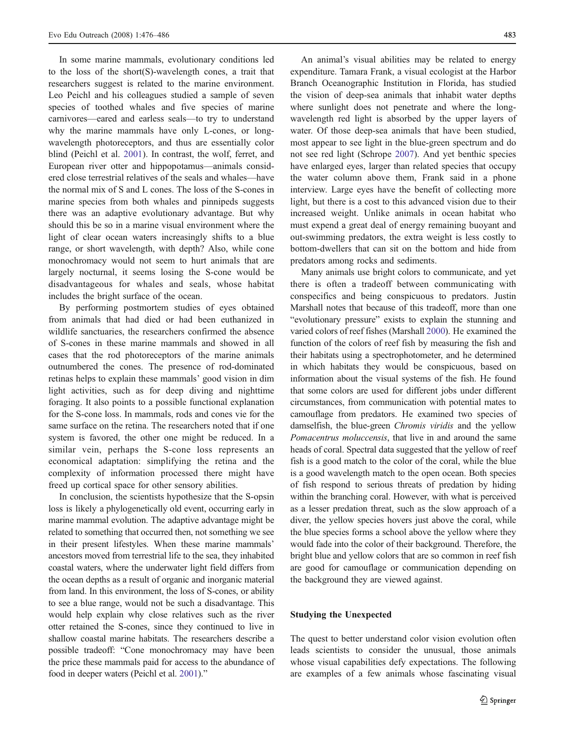In some marine mammals, evolutionary conditions led to the loss of the short(S)-wavelength cones, a trait that researchers suggest is related to the marine environment. Leo Peichl and his colleagues studied a sample of seven species of toothed whales and five species of marine carnivores—eared and earless seals—to try to understand why the marine mammals have only L-cones, or longwavelength photoreceptors, and thus are essentially color blind (Peichl et al. [2001](#page-9-0)). In contrast, the wolf, ferret, and European river otter and hippopotamus—animals considered close terrestrial relatives of the seals and whales—have the normal mix of S and L cones. The loss of the S-cones in marine species from both whales and pinnipeds suggests there was an adaptive evolutionary advantage. But why should this be so in a marine visual environment where the light of clear ocean waters increasingly shifts to a blue range, or short wavelength, with depth? Also, while cone monochromacy would not seem to hurt animals that are largely nocturnal, it seems losing the S-cone would be disadvantageous for whales and seals, whose habitat includes the bright surface of the ocean.

By performing postmortem studies of eyes obtained from animals that had died or had been euthanized in wildlife sanctuaries, the researchers confirmed the absence of S-cones in these marine mammals and showed in all cases that the rod photoreceptors of the marine animals outnumbered the cones. The presence of rod-dominated retinas helps to explain these mammals' good vision in dim light activities, such as for deep diving and nighttime foraging. It also points to a possible functional explanation for the S-cone loss. In mammals, rods and cones vie for the same surface on the retina. The researchers noted that if one system is favored, the other one might be reduced. In a similar vein, perhaps the S-cone loss represents an economical adaptation: simplifying the retina and the complexity of information processed there might have freed up cortical space for other sensory abilities.

In conclusion, the scientists hypothesize that the S-opsin loss is likely a phylogenetically old event, occurring early in marine mammal evolution. The adaptive advantage might be related to something that occurred then, not something we see in their present lifestyles. When these marine mammals' ancestors moved from terrestrial life to the sea, they inhabited coastal waters, where the underwater light field differs from the ocean depths as a result of organic and inorganic material from land. In this environment, the loss of S-cones, or ability to see a blue range, would not be such a disadvantage. This would help explain why close relatives such as the river otter retained the S-cones, since they continued to live in shallow coastal marine habitats. The researchers describe a possible tradeoff: "Cone monochromacy may have been the price these mammals paid for access to the abundance of food in deeper waters (Peichl et al. [2001\)](#page-9-0)."

An animal's visual abilities may be related to energy expenditure. Tamara Frank, a visual ecologist at the Harbor Branch Oceanographic Institution in Florida, has studied the vision of deep-sea animals that inhabit water depths where sunlight does not penetrate and where the longwavelength red light is absorbed by the upper layers of water. Of those deep-sea animals that have been studied, most appear to see light in the blue-green spectrum and do not see red light (Schrope [2007\)](#page-10-0). And yet benthic species have enlarged eyes, larger than related species that occupy the water column above them, Frank said in a phone interview. Large eyes have the benefit of collecting more light, but there is a cost to this advanced vision due to their increased weight. Unlike animals in ocean habitat who must expend a great deal of energy remaining buoyant and out-swimming predators, the extra weight is less costly to bottom-dwellers that can sit on the bottom and hide from predators among rocks and sediments.

Many animals use bright colors to communicate, and yet there is often a tradeoff between communicating with conspecifics and being conspicuous to predators. Justin Marshall notes that because of this tradeoff, more than one "evolutionary pressure" exists to explain the stunning and varied colors of reef fishes (Marshall [2000](#page-9-0)). He examined the function of the colors of reef fish by measuring the fish and their habitats using a spectrophotometer, and he determined in which habitats they would be conspicuous, based on information about the visual systems of the fish. He found that some colors are used for different jobs under different circumstances, from communication with potential mates to camouflage from predators. He examined two species of damselfish, the blue-green Chromis viridis and the yellow Pomacentrus moluccensis, that live in and around the same heads of coral. Spectral data suggested that the yellow of reef fish is a good match to the color of the coral, while the blue is a good wavelength match to the open ocean. Both species of fish respond to serious threats of predation by hiding within the branching coral. However, with what is perceived as a lesser predation threat, such as the slow approach of a diver, the yellow species hovers just above the coral, while the blue species forms a school above the yellow where they would fade into the color of their background. Therefore, the bright blue and yellow colors that are so common in reef fish are good for camouflage or communication depending on the background they are viewed against.

## Studying the Unexpected

The quest to better understand color vision evolution often leads scientists to consider the unusual, those animals whose visual capabilities defy expectations. The following are examples of a few animals whose fascinating visual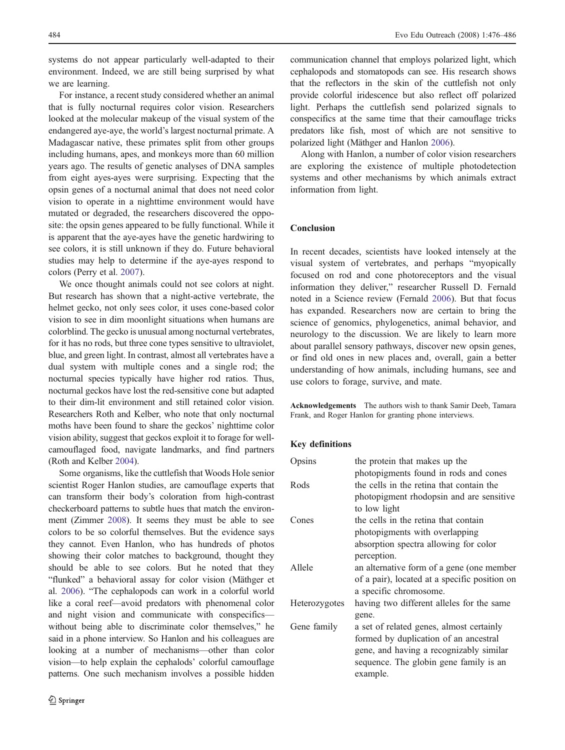systems do not appear particularly well-adapted to their environment. Indeed, we are still being surprised by what we are learning.

For instance, a recent study considered whether an animal that is fully nocturnal requires color vision. Researchers looked at the molecular makeup of the visual system of the endangered aye-aye, the world's largest nocturnal primate. A Madagascar native, these primates split from other groups including humans, apes, and monkeys more than 60 million years ago. The results of genetic analyses of DNA samples from eight ayes-ayes were surprising. Expecting that the opsin genes of a nocturnal animal that does not need color vision to operate in a nighttime environment would have mutated or degraded, the researchers discovered the opposite: the opsin genes appeared to be fully functional. While it is apparent that the aye-ayes have the genetic hardwiring to see colors, it is still unknown if they do. Future behavioral studies may help to determine if the aye-ayes respond to colors (Perry et al. [2007](#page-9-0)).

We once thought animals could not see colors at night. But research has shown that a night-active vertebrate, the helmet gecko, not only sees color, it uses cone-based color vision to see in dim moonlight situations when humans are colorblind. The gecko is unusual among nocturnal vertebrates, for it has no rods, but three cone types sensitive to ultraviolet, blue, and green light. In contrast, almost all vertebrates have a dual system with multiple cones and a single rod; the nocturnal species typically have higher rod ratios. Thus, nocturnal geckos have lost the red-sensitive cone but adapted to their dim-lit environment and still retained color vision. Researchers Roth and Kelber, who note that only nocturnal moths have been found to share the geckos' nighttime color vision ability, suggest that geckos exploit it to forage for wellcamouflaged food, navigate landmarks, and find partners (Roth and Kelber [2004](#page-10-0)).

Some organisms, like the cuttlefish that Woods Hole senior scientist Roger Hanlon studies, are camouflage experts that can transform their body's coloration from high-contrast checkerboard patterns to subtle hues that match the environment (Zimmer [2008](#page-10-0)). It seems they must be able to see colors to be so colorful themselves. But the evidence says they cannot. Even Hanlon, who has hundreds of photos showing their color matches to background, thought they should be able to see colors. But he noted that they "flunked" a behavioral assay for color vision (Mäthger et al. [2006](#page-9-0)). "The cephalopods can work in a colorful world like a coral reef—avoid predators with phenomenal color and night vision and communicate with conspecifics without being able to discriminate color themselves," he said in a phone interview. So Hanlon and his colleagues are looking at a number of mechanisms—other than color vision—to help explain the cephalods' colorful camouflage patterns. One such mechanism involves a possible hidden communication channel that employs polarized light, which cephalopods and stomatopods can see. His research shows that the reflectors in the skin of the cuttlefish not only provide colorful iridescence but also reflect off polarized light. Perhaps the cuttlefish send polarized signals to conspecifics at the same time that their camouflage tricks predators like fish, most of which are not sensitive to polarized light (Mäthger and Hanlon [2006](#page-9-0)).

Along with Hanlon, a number of color vision researchers are exploring the existence of multiple photodetection systems and other mechanisms by which animals extract information from light.

# Conclusion

In recent decades, scientists have looked intensely at the visual system of vertebrates, and perhaps "myopically focused on rod and cone photoreceptors and the visual information they deliver," researcher Russell D. Fernald noted in a Science review (Fernald [2006\)](#page-9-0). But that focus has expanded. Researchers now are certain to bring the science of genomics, phylogenetics, animal behavior, and neurology to the discussion. We are likely to learn more about parallel sensory pathways, discover new opsin genes, or find old ones in new places and, overall, gain a better understanding of how animals, including humans, see and use colors to forage, survive, and mate.

Acknowledgements The authors wish to thank Samir Deeb, Tamara Frank, and Roger Hanlon for granting phone interviews.

## Key definitions

| Opsins        | the protein that makes up the                 |  |
|---------------|-----------------------------------------------|--|
|               | photopigments found in rods and cones         |  |
| Rods          | the cells in the retina that contain the      |  |
|               | photopigment rhodopsin and are sensitive      |  |
|               | to low light                                  |  |
| Cones         | the cells in the retina that contain          |  |
|               | photopigments with overlapping                |  |
|               | absorption spectra allowing for color         |  |
|               | perception.                                   |  |
| Allele        | an alternative form of a gene (one member     |  |
|               | of a pair), located at a specific position on |  |
|               | a specific chromosome.                        |  |
| Heterozygotes | having two different alleles for the same     |  |
|               | gene.                                         |  |
| Gene family   | a set of related genes, almost certainly      |  |
|               | formed by duplication of an ancestral         |  |
|               | gene, and having a recognizably similar       |  |
|               | sequence. The globin gene family is an        |  |
|               | example.                                      |  |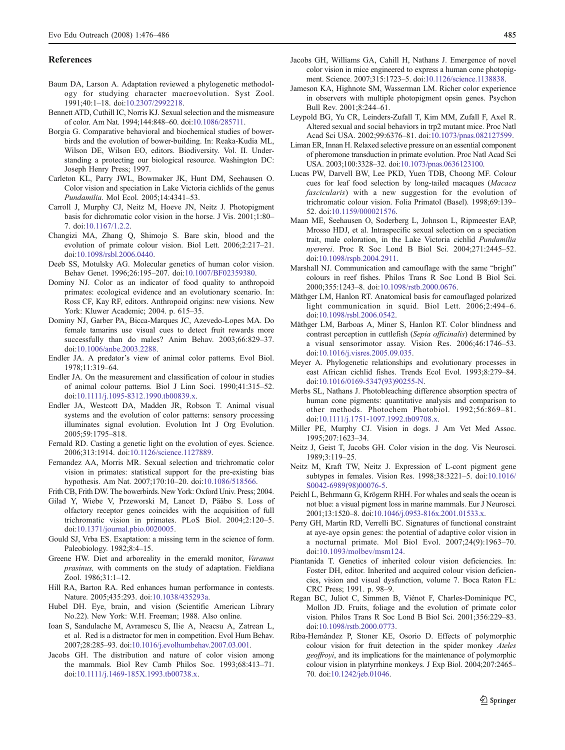#### <span id="page-9-0"></span>References

- Baum DA, Larson A. Adaptation reviewed a phylogenetic methodology for studying character macroevolution. Syst Zool. 1991;40:1–18. doi:[10.2307/2992218](http://dx.doi.org/10.2307/2992218).
- Bennett ATD, Cuthill IC, Norris KJ. Sexual selection and the mismeasure of color. Am Nat. 1994;144:848–60. doi[:10.1086/285711](http://dx.doi.org/10.1086/285711).
- Borgia G. Comparative behavioral and biochemical studies of bowerbirds and the evolution of bower-building. In: Reaka-Kudia ML, Wilson DE, Wilson EO, editors. Biodiversity. Vol. II. Understanding a protecting our biological resource. Washington DC: Joseph Henry Press; 1997.
- Carleton KL, Parry JWL, Bowmaker JK, Hunt DM, Seehausen O. Color vision and speciation in Lake Victoria cichlids of the genus Pundamilia. Mol Ecol. 2005;14:4341–53.
- Carroll J, Murphy CJ, Neitz M, Hoeve JN, Neitz J. Photopigment basis for dichromatic color vision in the horse. J Vis. 2001;1:80– 7. doi[:10.1167/1.2.2.](http://dx.doi.org/10.1167/1.2.2)
- Changizi MA, Zhang Q, Shimojo S. Bare skin, blood and the evolution of primate colour vision. Biol Lett. 2006;2:217–21. doi[:10.1098/rsbl.2006.0440](http://dx.doi.org/10.1098/rsbl.2006.0440).
- Deeb SS, Motulsky AG. Molecular genetics of human color vision. Behav Genet. 1996;26:195–207. doi:[10.1007/BF02359380.](http://dx.doi.org/10.1007/BF02359380)
- Dominy NJ. Color as an indicator of food quality to anthropoid primates: ecological evidence and an evolutionary scenario. In: Ross CF, Kay RF, editors. Anthropoid origins: new visions. New York: Kluwer Academic; 2004. p. 615–35.
- Dominy NJ, Garber PA, Bicca-Marques JC, Azevedo-Lopes MA. Do female tamarins use visual cues to detect fruit rewards more successfully than do males? Anim Behav. 2003;66:829–37. doi[:10.1006/anbe.2003.2288.](http://dx.doi.org/10.1006/anbe.2003.2288)
- Endler JA. A predator's view of animal color patterns. Evol Biol. 1978;11:319–64.
- Endler JA. On the measurement and classification of colour in studies of animal colour patterns. Biol J Linn Soci. 1990;41:315–52. doi[:10.1111/j.1095-8312.1990.tb00839.x](http://dx.doi.org/10.1111/j.1095-8312.1990.tb00839.x).
- Endler JA, Westcott DA, Madden JR, Robson T. Animal visual systems and the evolution of color patterns: sensory processing illuminates signal evolution. Evolution Int J Org Evolution. 2005;59:1795–818.
- Fernald RD. Casting a genetic light on the evolution of eyes. Science. 2006;313:1914. doi[:10.1126/science.1127889.](http://dx.doi.org/10.1126/science.1127889)
- Fernandez AA, Morris MR. Sexual selection and trichromatic color vision in primates: statistical support for the pre-existing bias hypothesis. Am Nat. 2007;170:10–20. doi:[10.1086/518566.](http://dx.doi.org/10.1086/518566)
- Frith CB, Frith DW. The bowerbirds. New York: Oxford Univ. Press; 2004.
- Gilad Y, Wiebe V, Przeworski M, Lancet D, Pääbo S. Loss of olfactory receptor genes coincides with the acquisition of full trichromatic vision in primates. PLoS Biol. 2004;2:120–5. doi[:10.1371/journal.pbio.0020005](http://dx.doi.org/10.1371/journal.pbio.0020005).
- Gould SJ, Vrba ES. Exaptation: a missing term in the science of form. Paleobiology. 1982;8:4–15.
- Greene HW. Diet and arboreality in the emerald monitor, Varanus prasinus, with comments on the study of adaptation. Fieldiana Zool. 1986;31:1–12.
- Hill RA, Barton RA. Red enhances human performance in contests. Nature. 2005;435:293. doi:[10.1038/435293a](http://dx.doi.org/10.1038/435293a).
- Hubel DH. Eye, brain, and vision (Scientific American Library No.22). New York: W.H. Freeman; 1988. Also online.
- Ioan S, Sandulache M, Avramescu S, Ilie A, Neacsu A, Zatrean L, et al. Red is a distractor for men in competition. Evol Hum Behav. 2007;28:285–93. doi[:10.1016/j.evolhumbehav.2007.03.001](http://dx.doi.org/10.1016/j.evolhumbehav.2007.03.001).
- Jacobs GH. The distribution and nature of color vision among the mammals. Biol Rev Camb Philos Soc. 1993;68:413–71. doi[:10.1111/j.1469-185X.1993.tb00738.x](http://dx.doi.org/10.1111/j.1469-185X.1993.tb00738.x).
- Jacobs GH, Williams GA, Cahill H, Nathans J. Emergence of novel color vision in mice engineered to express a human cone photopigment. Science. 2007;315:1723–5. doi:[10.1126/science.1138838.](http://dx.doi.org/10.1126/science.1138838)
- Jameson KA, Highnote SM, Wasserman LM. Richer color experience in observers with multiple photopigment opsin genes. Psychon Bull Rev. 2001;8:244–61.
- Leypold BG, Yu CR, Leinders-Zufall T, Kim MM, Zufall F, Axel R. Altered sexual and social behaviors in trp2 mutant mice. Proc Natl Acad Sci USA. 2002;99:6376–81. doi[:10.1073/pnas.082127599.](http://dx.doi.org/10.1073/pnas.082127599)
- Liman ER, Innan H. Relaxed selective pressure on an essential component of pheromone transduction in primate evolution. Proc Natl Acad Sci USA. 2003;100:3328–32. doi[:10.1073/pnas.0636123100](http://dx.doi.org/10.1073/pnas.0636123100).
- Lucas PW, Darvell BW, Lee PKD, Yuen TDB, Choong MF. Colour cues for leaf food selection by long-tailed macaques (Macaca fascicularis) with a new suggestion for the evolution of trichromatic colour vision. Folia Primatol (Basel). 1998;69:139– 52. doi:[10.1159/000021576](http://dx.doi.org/10.1159/000021576).
- Maan ME, Seehausen O, Soderberg L, Johnson L, Ripmeester EAP, Mrosso HDJ, et al. Intraspecific sexual selection on a speciation trait, male coloration, in the Lake Victoria cichlid Pundamilia nyererei. Proc R Soc Lond B Biol Sci. 2004;271:2445–52. doi[:10.1098/rspb.2004.2911](http://dx.doi.org/10.1098/rspb.2004.2911).
- Marshall NJ. Communication and camouflage with the same "bright" colours in reef fishes. Philos Trans R Soc Lond B Biol Sci. 2000;355:1243–8. doi:[10.1098/rstb.2000.0676](http://dx.doi.org/10.1098/rstb.2000.0676).
- Mäthger LM, Hanlon RT. Anatomical basis for camouflaged polarized light communication in squid. Biol Lett. 2006;2:494–6. doi[:10.1098/rsbl.2006.0542.](http://dx.doi.org/10.1098/rsbl.2006.0542)
- Mäthger LM, Barboas A, Miner S, Hanlon RT. Color blindness and contrast perception in cuttlefish (Sepia officinalis) determined by a visual sensorimotor assay. Vision Res. 2006;46:1746–53. doi[:10.1016/j.visres.2005.09.035](http://dx.doi.org/10.1016/j.visres.2005.09.035).
- Meyer A. Phylogenetic relationships and evolutionary processes in east African cichlid fishes. Trends Ecol Evol. 1993;8:279–84. doi[:10.1016/0169-5347\(93\)90255-N.](http://dx.doi.org/10.1016/0169-5347(93)90255-N)
- Merbs SL, Nathans J. Photobleaching difference absorption spectra of human cone pigments: quantitative analysis and comparison to other methods. Photochem Photobiol. 1992;56:869–81. doi[:10.1111/j.1751-1097.1992.tb09708.x](http://dx.doi.org/10.1111/j.1751-1097.1992.tb09708.x).
- Miller PE, Murphy CJ. Vision in dogs. J Am Vet Med Assoc. 1995;207:1623–34.
- Neitz J, Geist T, Jacobs GH. Color vision in the dog. Vis Neurosci. 1989;3:119–25.
- Neitz M, Kraft TW, Neitz J. Expression of L-cont pigment gene subtypes in females. Vision Res. 1998;38:3221–5. doi[:10.1016/](http://dx.doi.org/10.1016/S0042-6989(98)00076-5) [S0042-6989\(98\)00076-5](http://dx.doi.org/10.1016/S0042-6989(98)00076-5).
- Peichl L, Behrmann G, Krögerm RHH. For whales and seals the ocean is not blue: a visual pigment loss in marine mammals. Eur J Neurosci. 2001;13:1520–8. doi[:10.1046/j.0953-816x.2001.01533.x](http://dx.doi.org/10.1046/j.0953-816x.2001.01533.x).
- Perry GH, Martin RD, Verrelli BC. Signatures of functional constraint at aye-aye opsin genes: the potential of adaptive color vision in a nocturnal primate. Mol Biol Evol. 2007;24(9):1963–70. doi:[10.1093/molbev/msm124.](http://dx.doi.org/10.1093/molbev/msm124)
- Piantanida T. Genetics of inherited colour vision deficiencies. In: Foster DH, editor. Inherited and acquired colour vision deficiencies, vision and visual dysfunction, volume 7. Boca Raton FL: CRC Press; 1991. p. 98–9.
- Regan BC, Juliot C, Simmen B, Viénot F, Charles-Dominique PC, Mollon JD. Fruits, foliage and the evolution of primate color vision. Philos Trans R Soc Lond B Biol Sci. 2001;356:229–83. doi[:10.1098/rstb.2000.0773.](http://dx.doi.org/10.1098/rstb.2000.0773)
- Riba-Hernández P, Stoner KE, Osorio D. Effects of polymorphic colour vision for fruit detection in the spider monkey Ateles geoffroyi, and its implications for the maintenance of polymorphic colour vision in platyrrhine monkeys. J Exp Biol. 2004;207:2465– 70. doi[:10.1242/jeb.01046](http://dx.doi.org/10.1242/jeb.01046).